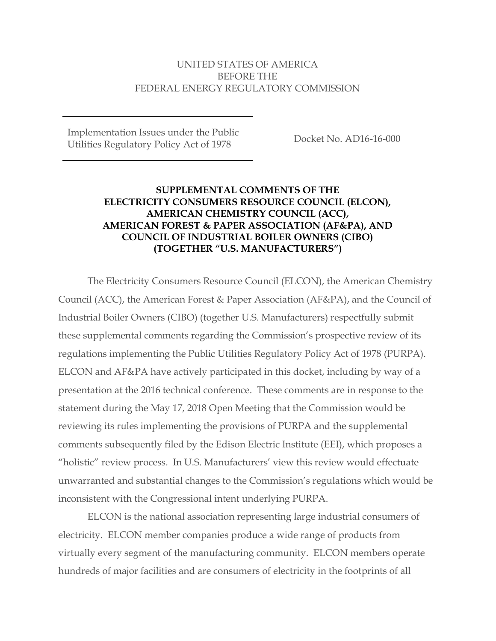## UNITED STATES OF AMERICA BEFORE THE FEDERAL ENERGY REGULATORY COMMISSION

Implementation Issues under the Public Utilities Regulatory Policy Act of 1978 Docket No. AD16-16-000

# **SUPPLEMENTAL COMMENTS OF THE ELECTRICITY CONSUMERS RESOURCE COUNCIL (ELCON), AMERICAN CHEMISTRY COUNCIL (ACC), AMERICAN FOREST & PAPER ASSOCIATION (AF&PA), AND COUNCIL OF INDUSTRIAL BOILER OWNERS (CIBO) (TOGETHER "U.S. MANUFACTURERS")**

The Electricity Consumers Resource Council (ELCON), the American Chemistry Council (ACC), the American Forest & Paper Association (AF&PA), and the Council of Industrial Boiler Owners (CIBO) (together U.S. Manufacturers) respectfully submit these supplemental comments regarding the Commission's prospective review of its regulations implementing the Public Utilities Regulatory Policy Act of 1978 (PURPA). ELCON and AF&PA have actively participated in this docket, including by way of a presentation at the 2016 technical conference. These comments are in response to the statement during the May 17, 2018 Open Meeting that the Commission would be reviewing its rules implementing the provisions of PURPA and the supplemental comments subsequently filed by the Edison Electric Institute (EEI), which proposes a "holistic" review process. In U.S. Manufacturers' view this review would effectuate unwarranted and substantial changes to the Commission's regulations which would be inconsistent with the Congressional intent underlying PURPA.

ELCON is the national association representing large industrial consumers of electricity. ELCON member companies produce a wide range of products from virtually every segment of the manufacturing community. ELCON members operate hundreds of major facilities and are consumers of electricity in the footprints of all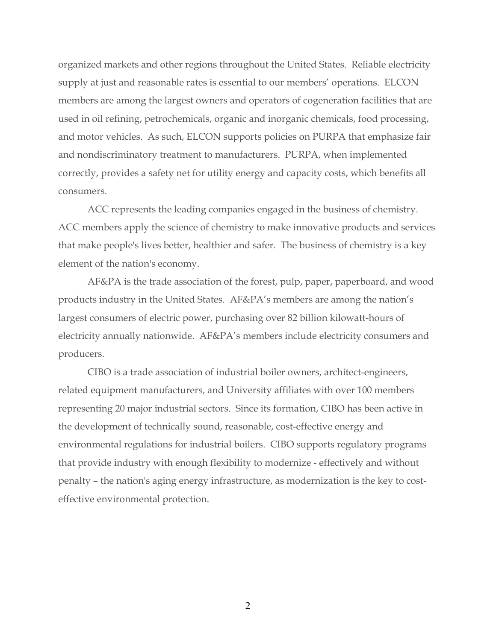organized markets and other regions throughout the United States. Reliable electricity supply at just and reasonable rates is essential to our members' operations. ELCON members are among the largest owners and operators of cogeneration facilities that are used in oil refining, petrochemicals, organic and inorganic chemicals, food processing, and motor vehicles. As such, ELCON supports policies on PURPA that emphasize fair and nondiscriminatory treatment to manufacturers. PURPA, when implemented correctly, provides a safety net for utility energy and capacity costs, which benefits all consumers.

ACC represents the leading companies engaged in the business of chemistry. ACC members apply the science of chemistry to make innovative products and services that make people's lives better, healthier and safer. The business of chemistry is a key element of the nation's economy.

AF&PA is the trade association of the forest, pulp, paper, paperboard, and wood products industry in the United States. AF&PA's members are among the nation's largest consumers of electric power, purchasing over 82 billion kilowatt-hours of electricity annually nationwide. AF&PA's members include electricity consumers and producers.

CIBO is a trade association of industrial boiler owners, architect-engineers, related equipment manufacturers, and University affiliates with over 100 members representing 20 major industrial sectors. Since its formation, CIBO has been active in the development of technically sound, reasonable, cost-effective energy and environmental regulations for industrial boilers. CIBO supports regulatory programs that provide industry with enough flexibility to modernize - effectively and without penalty – the nation's aging energy infrastructure, as modernization is the key to costeffective environmental protection.

2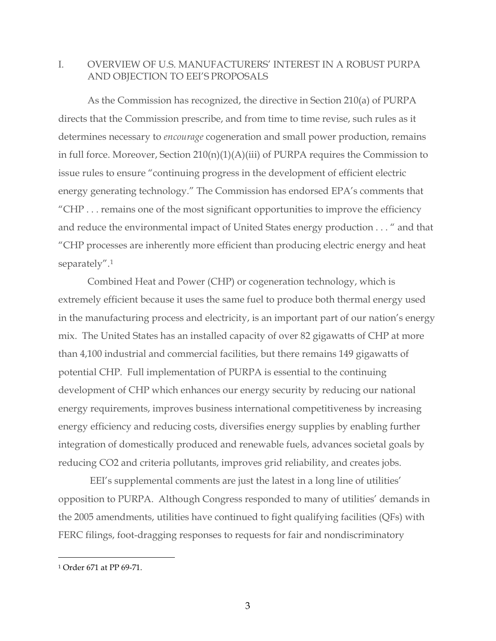## I. OVERVIEW OF U.S. MANUFACTURERS' INTEREST IN A ROBUST PURPA AND OBJECTION TO EEI'S PROPOSALS

As the Commission has recognized, the directive in Section 210(a) of PURPA directs that the Commission prescribe, and from time to time revise, such rules as it determines necessary to *encourage* cogeneration and small power production, remains in full force. Moreover, Section 210(n)(1)(A)(iii) of PURPA requires the Commission to issue rules to ensure "continuing progress in the development of efficient electric energy generating technology." The Commission has endorsed EPA's comments that "CHP . . . remains one of the most significant opportunities to improve the efficiency and reduce the environmental impact of United States energy production . . . " and that "CHP processes are inherently more efficient than producing electric energy and heat separately".[1](#page-2-0)

Combined Heat and Power (CHP) or cogeneration technology, which is extremely efficient because it uses the same fuel to produce both thermal energy used in the manufacturing process and electricity, is an important part of our nation's energy mix. The United States has an installed capacity of over 82 gigawatts of CHP at more than 4,100 industrial and commercial facilities, but there remains 149 gigawatts of potential CHP. Full implementation of PURPA is essential to the continuing development of CHP which enhances our energy security by reducing our national energy requirements, improves business international competitiveness by increasing energy efficiency and reducing costs, diversifies energy supplies by enabling further integration of domestically produced and renewable fuels, advances societal goals by reducing CO2 and criteria pollutants, improves grid reliability, and creates jobs.

EEI's supplemental comments are just the latest in a long line of utilities' opposition to PURPA. Although Congress responded to many of utilities' demands in the 2005 amendments, utilities have continued to fight qualifying facilities (QFs) with FERC filings, foot-dragging responses to requests for fair and nondiscriminatory

<span id="page-2-0"></span> <sup>1</sup> Order 671 at PP 69-71.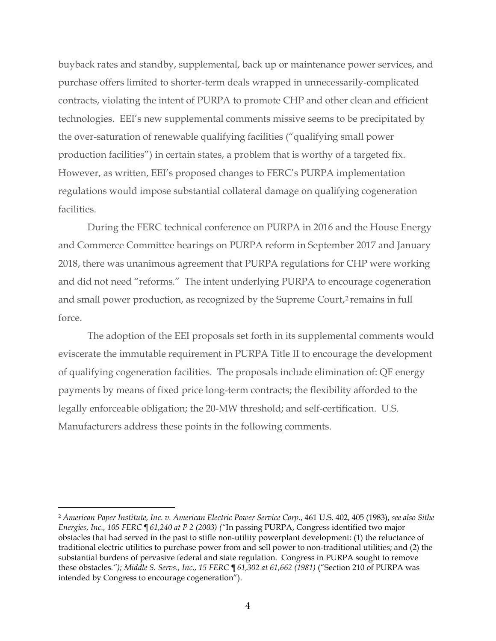buyback rates and standby, supplemental, back up or maintenance power services, and purchase offers limited to shorter-term deals wrapped in unnecessarily-complicated contracts, violating the intent of PURPA to promote CHP and other clean and efficient technologies. EEI's new supplemental comments missive seems to be precipitated by the over-saturation of renewable qualifying facilities ("qualifying small power production facilities") in certain states, a problem that is worthy of a targeted fix. However, as written, EEI's proposed changes to FERC's PURPA implementation regulations would impose substantial collateral damage on qualifying cogeneration facilities.

During the FERC technical conference on PURPA in 2016 and the House Energy and Commerce Committee hearings on PURPA reform in September 2017 and January 2018, there was unanimous agreement that PURPA regulations for CHP were working and did not need "reforms." The intent underlying PURPA to encourage cogeneration and small power production, as recognized by the Supreme Court,<sup>[2](#page-3-0)</sup> remains in full force.

The adoption of the EEI proposals set forth in its supplemental comments would eviscerate the immutable requirement in PURPA Title II to encourage the development of qualifying cogeneration facilities. The proposals include elimination of: QF energy payments by means of fixed price long-term contracts; the flexibility afforded to the legally enforceable obligation; the 20-MW threshold; and self-certification. U.S. Manufacturers address these points in the following comments.

<span id="page-3-0"></span> <sup>2</sup> *American Paper Institute, Inc. v. American Electric Power Service Corp*., 461 U.S. 402, 405 (1983), *see also Sithe Energies, Inc., 105 FERC ¶ 61,240 at P 2 (2003) ("*In passing PURPA, Congress identified two major obstacles that had served in the past to stifle non-utility powerplant development: (1) the reluctance of traditional electric utilities to purchase power from and sell power to non-traditional utilities; and (2) the substantial burdens of pervasive federal and state regulation. Congress in PURPA sought to remove these obstacles*."); Middle S. Servs., Inc., 15 FERC ¶ 61,302 at 61,662 (1981)* ("Section 210 of PURPA was intended by Congress to encourage cogeneration").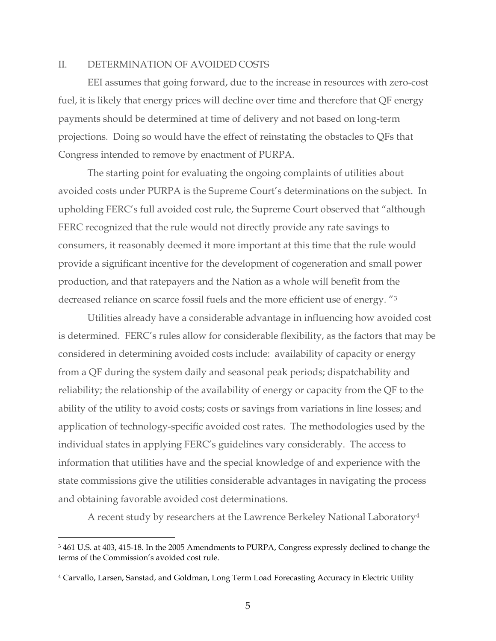#### II. DETERMINATION OF AVOIDED COSTS

EEI assumes that going forward, due to the increase in resources with zero-cost fuel, it is likely that energy prices will decline over time and therefore that QF energy payments should be determined at time of delivery and not based on long-term projections. Doing so would have the effect of reinstating the obstacles to QFs that Congress intended to remove by enactment of PURPA.

The starting point for evaluating the ongoing complaints of utilities about avoided costs under PURPA is the Supreme Court's determinations on the subject. In upholding FERC's full avoided cost rule, the Supreme Court observed that "although FERC recognized that the rule would not directly provide any rate savings to consumers, it reasonably deemed it more important at this time that the rule would provide a significant incentive for the development of cogeneration and small power production, and that ratepayers and the Nation as a whole will benefit from the decreased reliance on scarce fossil fuels and the more efficient use of energy. ["3](#page-4-0)

Utilities already have a considerable advantage in influencing how avoided cost is determined. FERC's rules allow for considerable flexibility, as the factors that may be considered in determining avoided costs include: availability of capacity or energy from a QF during the system daily and seasonal peak periods; dispatchability and reliability; the relationship of the availability of energy or capacity from the QF to the ability of the utility to avoid costs; costs or savings from variations in line losses; and application of technology-specific avoided cost rates. The methodologies used by the individual states in applying FERC's guidelines vary considerably. The access to information that utilities have and the special knowledge of and experience with the state commissions give the utilities considerable advantages in navigating the process and obtaining favorable avoided cost determinations.

A recent study by researchers at the Lawrence Berkeley National Laboratory[4](#page-4-1)

<span id="page-4-0"></span><sup>&</sup>lt;sup>3</sup> 461 U.S. at 403, 415-18. In the 2005 Amendments to PURPA, Congress expressly declined to change the terms of the Commission's avoided cost rule.

<span id="page-4-1"></span><sup>4</sup> Carvallo, Larsen, Sanstad, and Goldman, Long Term Load Forecasting Accuracy in Electric Utility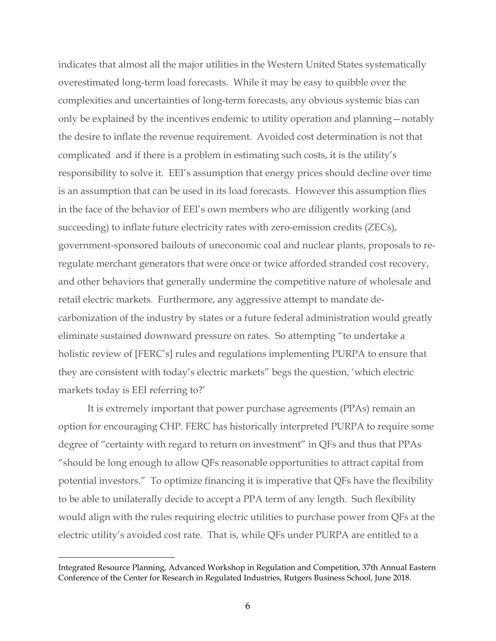indicates that almost all the major utilities in the Western United States systematically overestimated long-term load forecasts. While it may be easy to quibble over the complexities and uncertainties of long-term forecasts, any obvious systemic bias can only be explained by the incentives endemic to utility operation and planning—notably the desire to inflate the revenue requirement. Avoided cost determination is not that complicated and if there is a problem in estimating such costs, it is the utility's responsibility to solve it. EEI's assumption that energy prices should decline over time is an assumption that can be used in its load forecasts. However this assumption flies in the face of the behavior of EEI's own members who are diligently working (and succeeding) to inflate future electricity rates with zero-emission credits (ZECs), government-sponsored bailouts of uneconomic coal and nuclear plants, proposals to reregulate merchant generators that were once or twice afforded stranded cost recovery, and other behaviors that generally undermine the competitive nature of wholesale and retail electric markets. Furthermore, any aggressive attempt to mandate decarbonization of the industry by states or a future federal administration would greatly eliminate sustained downward pressure on rates. So attempting "to undertake a holistic review of [FERC's] rules and regulations implementing PURPA to ensure that they are consistent with today's electric markets" begs the question, 'which electric markets today is EEI referring to?'

It is extremely important that power purchase agreements (PPAs) remain an option for encouraging CHP. FERC has historically interpreted PURPA to require some degree of "certainty with regard to return on investment" in QFs and thus that PPAs "should be long enough to allow QFs reasonable opportunities to attract capital from potential investors." To optimize financing it is imperative that QFs have the flexibility to be able to unilaterally decide to accept a PPA term of any length. Such flexibility would align with the rules requiring electric utilities to purchase power from QFs at the electric utility's avoided cost rate. That is, while QFs under PURPA are entitled to a

 $\overline{a}$ 

Integrated Resource Planning, Advanced Workshop in Regulation and Competition, 37th Annual Eastern Conference of the Center for Research in Regulated Industries, Rutgers Business School, June 2018.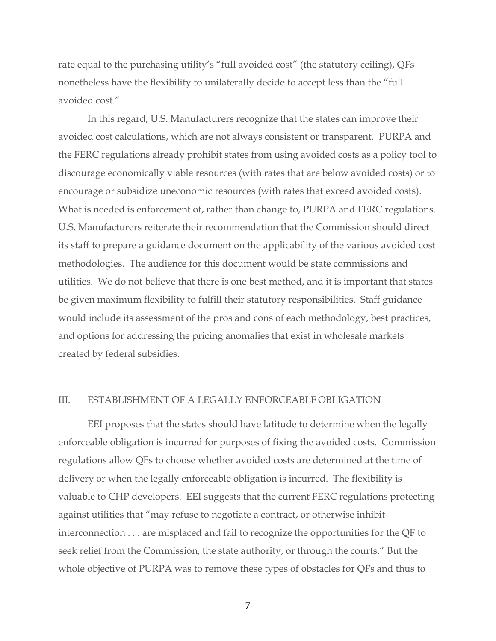rate equal to the purchasing utility's "full avoided cost" (the statutory ceiling), QFs nonetheless have the flexibility to unilaterally decide to accept less than the "full avoided cost."

In this regard, U.S. Manufacturers recognize that the states can improve their avoided cost calculations, which are not always consistent or transparent. PURPA and the FERC regulations already prohibit states from using avoided costs as a policy tool to discourage economically viable resources (with rates that are below avoided costs) or to encourage or subsidize uneconomic resources (with rates that exceed avoided costs). What is needed is enforcement of, rather than change to, PURPA and FERC regulations. U.S. Manufacturers reiterate their recommendation that the Commission should direct its staff to prepare a guidance document on the applicability of the various avoided cost methodologies. The audience for this document would be state commissions and utilities. We do not believe that there is one best method, and it is important that states be given maximum flexibility to fulfill their statutory responsibilities. Staff guidance would include its assessment of the pros and cons of each methodology, best practices, and options for addressing the pricing anomalies that exist in wholesale markets created by federal subsidies.

#### III. ESTABLISHMENT OF A LEGALLY ENFORCEABLEOBLIGATION

EEI proposes that the states should have latitude to determine when the legally enforceable obligation is incurred for purposes of fixing the avoided costs. Commission regulations allow QFs to choose whether avoided costs are determined at the time of delivery or when the legally enforceable obligation is incurred. The flexibility is valuable to CHP developers. EEI suggests that the current FERC regulations protecting against utilities that "may refuse to negotiate a contract, or otherwise inhibit interconnection . . . are misplaced and fail to recognize the opportunities for the QF to seek relief from the Commission, the state authority, or through the courts." But the whole objective of PURPA was to remove these types of obstacles for QFs and thus to

7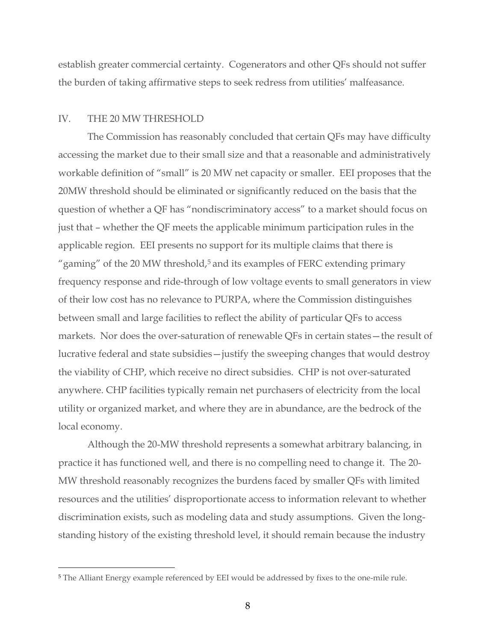establish greater commercial certainty. Cogenerators and other QFs should not suffer the burden of taking affirmative steps to seek redress from utilities' malfeasance.

#### IV. THE 20 MW THRESHOLD

The Commission has reasonably concluded that certain QFs may have difficulty accessing the market due to their small size and that a reasonable and administratively workable definition of "small" is 20 MW net capacity or smaller. EEI proposes that the 20MW threshold should be eliminated or significantly reduced on the basis that the question of whether a QF has "nondiscriminatory access" to a market should focus on just that – whether the QF meets the applicable minimum participation rules in the applicable region. EEI presents no support for its multiple claims that there is "gaming" of the 20 MW threshold, $5$  and its examples of FERC extending primary frequency response and ride-through of low voltage events to small generators in view of their low cost has no relevance to PURPA, where the Commission distinguishes between small and large facilities to reflect the ability of particular QFs to access markets. Nor does the over-saturation of renewable QFs in certain states—the result of lucrative federal and state subsidies—justify the sweeping changes that would destroy the viability of CHP, which receive no direct subsidies. CHP is not over-saturated anywhere. CHP facilities typically remain net purchasers of electricity from the local utility or organized market, and where they are in abundance, are the bedrock of the local economy.

Although the 20-MW threshold represents a somewhat arbitrary balancing, in practice it has functioned well, and there is no compelling need to change it. The 20- MW threshold reasonably recognizes the burdens faced by smaller QFs with limited resources and the utilities' disproportionate access to information relevant to whether discrimination exists, such as modeling data and study assumptions. Given the longstanding history of the existing threshold level, it should remain because the industry

<span id="page-7-0"></span> <sup>5</sup> The Alliant Energy example referenced by EEI would be addressed by fixes to the one-mile rule.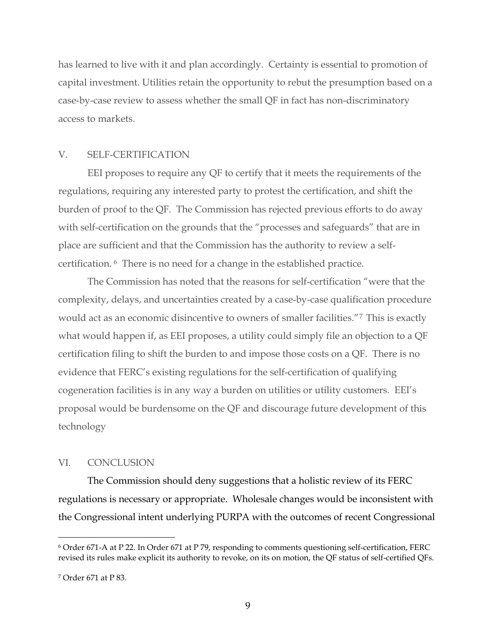has learned to live with it and plan accordingly. Certainty is essential to promotion of capital investment. Utilities retain the opportunity to rebut the presumption based on a case-by-case review to assess whether the small QF in fact has non-discriminatory access to markets.

### V. SELF-CERTIFICATION

EEI proposes to require any QF to certify that it meets the requirements of the regulations, requiring any interested party to protest the certification, and shift the burden of proof to the QF. The Commission has rejected previous efforts to do away with self-certification on the grounds that the "processes and safeguards" that are in place are sufficient and that the Commission has the authority to review a selfcertification. [6](#page-8-0) There is no need for a change in the established practice.

The Commission has noted that the reasons for self-certification "were that the complexity, delays, and uncertainties created by a case-by-case qualification procedure would act as an economic disincentive to owners of smaller facilities."[7](#page-8-1) This is exactly what would happen if, as EEI proposes, a utility could simply file an objection to a QF certification filing to shift the burden to and impose those costs on a QF. There is no evidence that FERC's existing regulations for the self-certification of qualifying cogeneration facilities is in any way a burden on utilities or utility customers. EEI's proposal would be burdensome on the QF and discourage future development of this technology

### VI. CONCLUSION

The Commission should deny suggestions that a holistic review of its FERC regulations is necessary or appropriate. Wholesale changes would be inconsistent with the Congressional intent underlying PURPA with the outcomes of recent Congressional

<span id="page-8-0"></span> <sup>6</sup> Order 671-A at P 22. In Order 671 at P 79, responding to comments questioning self-certification, FERC revised its rules make explicit its authority to revoke, on its on motion, the QF status of self-certified QFs.

<span id="page-8-1"></span><sup>7</sup> Order 671 at P 83.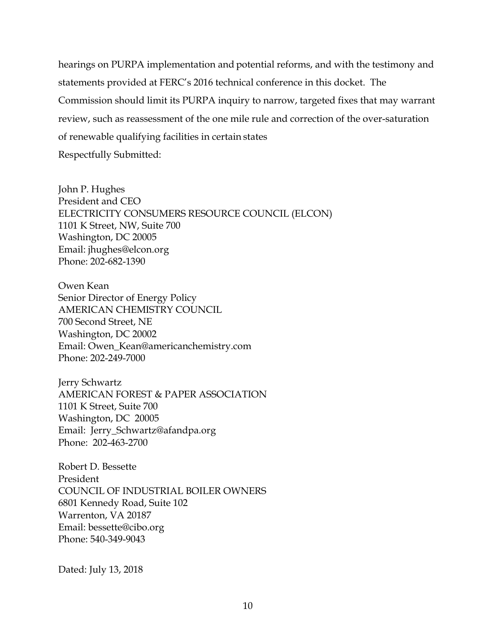hearings on PURPA implementation and potential reforms, and with the testimony and statements provided at FERC's 2016 technical conference in this docket. The Commission should limit its PURPA inquiry to narrow, targeted fixes that may warrant review, such as reassessment of the one mile rule and correction of the over-saturation of renewable qualifying facilities in certain states Respectfully Submitted:

John P. Hughes President and CEO ELECTRICITY CONSUMERS RESOURCE COUNCIL (ELCON) 1101 K Street, NW, Suite 700 Washington, DC 20005 Emai[l: jhughes@elcon.org](mailto:jhughes@elcon.org) Phone: 202-682-1390

Owen Kean Senior Director of Energy Policy AMERICAN CHEMISTRY COUNCIL 700 Second Street, NE Washington, DC 20002 Email: Owen\_Kean@americanchemistry.com Phone: 202-249-7000

Jerry Schwartz AMERICAN FOREST & PAPER ASSOCIATION 1101 K Street, Suite 700 Washington, DC 20005 Email: Jerry\_Schwartz@afandpa.org Phone: 202-463-2700

Robert D. Bessette President COUNCIL OF INDUSTRIAL BOILER OWNERS 6801 Kennedy Road, Suite 102 Warrenton, VA 20187 Email: bessette@cibo.org Phone: 540-349-9043

Dated: July 13, 2018